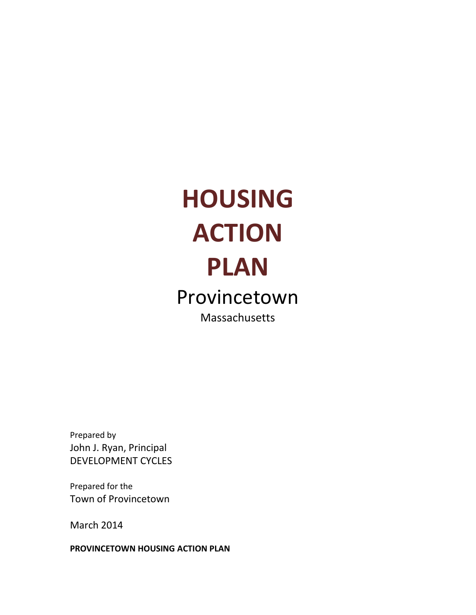# **HOUSING ACTION PLAN** Provincetown Massachusetts

Prepared by John J. Ryan, Principal DEVELOPMENT CYCLES

Prepared for the Town of Provincetown

March 2014

**PROVINCETOWN HOUSING ACTION PLAN**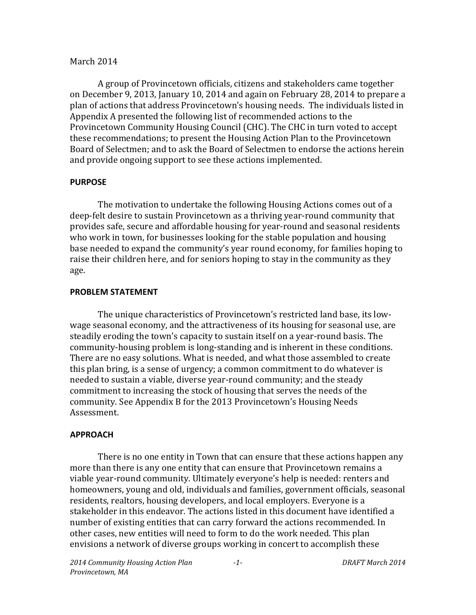#### March 2014

A group of Provincetown officials, citizens and stakeholders came together on December 9, 2013, January 10, 2014 and again on February 28, 2014 to prepare a plan of actions that address Provincetown's housing needs. The individuals listed in Appendix A presented the following list of recommended actions to the Provincetown Community Housing Council (CHC). The CHC in turn voted to accept these recommendations; to present the Housing Action Plan to the Provincetown Board of Selectmen; and to ask the Board of Selectmen to endorse the actions herein and provide ongoing support to see these actions implemented.

#### **PURPOSE**

The motivation to undertake the following Housing Actions comes out of a deep-felt desire to sustain Provincetown as a thriving year-round community that provides safe, secure and affordable housing for year-round and seasonal residents who work in town, for businesses looking for the stable population and housing base needed to expand the community's year round economy, for families hoping to raise their children here, and for seniors hoping to stay in the community as they age.

#### **PROBLEM STATEMENT**

The unique characteristics of Provincetown's restricted land base, its lowwage seasonal economy, and the attractiveness of its housing for seasonal use, are steadily eroding the town's capacity to sustain itself on a year-round basis. The community-housing problem is long-standing and is inherent in these conditions. There are no easy solutions. What is needed, and what those assembled to create this plan bring, is a sense of urgency; a common commitment to do whatever is needed to sustain a viable, diverse year-round community; and the steady commitment to increasing the stock of housing that serves the needs of the community. See Appendix B for the 2013 Provincetown's Housing Needs Assessment.

#### **APPROACH**

There is no one entity in Town that can ensure that these actions happen any more than there is any one entity that can ensure that Provincetown remains a viable year-round community. Ultimately everyone's help is needed: renters and homeowners, young and old, individuals and families, government officials, seasonal residents, realtors, housing developers, and local employers. Everyone is a stakeholder in this endeavor. The actions listed in this document have identified a number of existing entities that can carry forward the actions recommended. In other cases, new entities will need to form to do the work needed. This plan envisions a network of diverse groups working in concert to accomplish these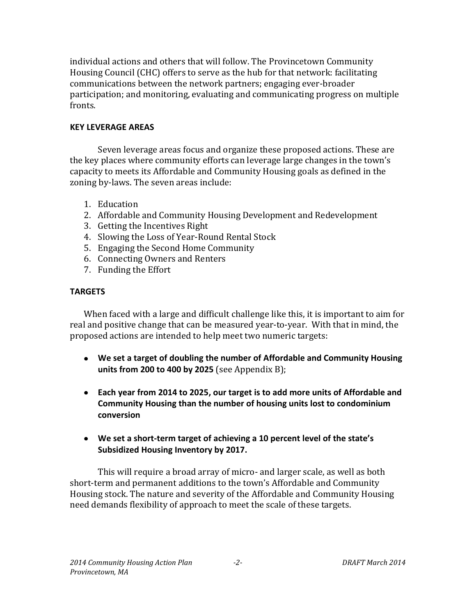individual actions and others that will follow. The Provincetown Community Housing Council (CHC) offers to serve as the hub for that network: facilitating communications between the network partners; engaging ever-broader participation; and monitoring, evaluating and communicating progress on multiple fronts.

#### **KEY LEVERAGE AREAS**

Seven leverage areas focus and organize these proposed actions. These are the key places where community efforts can leverage large changes in the town's capacity to meets its Affordable and Community Housing goals as defined in the zoning by-laws. The seven areas include:

- 1. Education
- 2. Affordable and Community Housing Development and Redevelopment
- 3. Getting the Incentives Right
- 4. Slowing the Loss of Year-Round Rental Stock
- 5. Engaging the Second Home Community
- 6. Connecting Owners and Renters
- 7. Funding the Effort

#### **TARGETS**

When faced with a large and difficult challenge like this, it is important to aim for real and positive change that can be measured year-to-year. With that in mind, the proposed actions are intended to help meet two numeric targets:

- **We set a target of doubling the number of Affordable and Community Housing units from 200 to 400 by 2025** (see Appendix B);
- **Each year from 2014 to 2025, our target is to add more units of Affordable and Community Housing than the number of housing units lost to condominium conversion**
- **We set a short-term target of achieving a 10 percent level of the state's Subsidized Housing Inventory by 2017.**

This will require a broad array of micro- and larger scale, as well as both short-term and permanent additions to the town's Affordable and Community Housing stock. The nature and severity of the Affordable and Community Housing need demands flexibility of approach to meet the scale of these targets.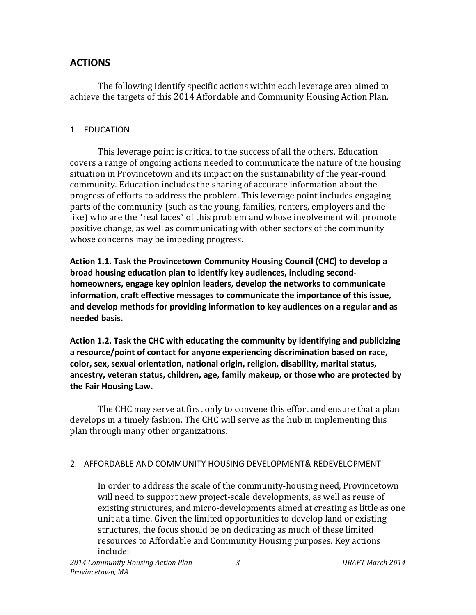# **ACTIONS**

The following identify specific actions within each leverage area aimed to achieve the targets of this 2014 Affordable and Community Housing Action Plan.

#### 1. EDUCATION

This leverage point is critical to the success of all the others. Education covers a range of ongoing actions needed to communicate the nature of the housing situation in Provincetown and its impact on the sustainability of the year-round community. Education includes the sharing of accurate information about the progress of efforts to address the problem. This leverage point includes engaging parts of the community (such as the young, families, renters, employers and the like) who are the "real faces" of this problem and whose involvement will promote positive change, as well as communicating with other sectors of the community whose concerns may be impeding progress.

**Action 1.1. Task the Provincetown Community Housing Council (CHC) to develop a broad housing education plan to identify key audiences, including secondhomeowners, engage key opinion leaders, develop the networks to communicate information, craft effective messages to communicate the importance of this issue, and develop methods for providing information to key audiences on a regular and as needed basis.**

**Action 1.2. Task the CHC with educating the community by identifying and publicizing a resource/point of contact for anyone experiencing discrimination based on race, color, sex, sexual orientation, national origin, religion, disability, marital status, ancestry, veteran status, children, age, family makeup, or those who are protected by the Fair Housing Law.**

The CHC may serve at first only to convene this effort and ensure that a plan develops in a timely fashion. The CHC will serve as the hub in implementing this plan through many other organizations.

## 2. AFFORDABLE AND COMMUNITY HOUSING DEVELOPMENT& REDEVELOPMENT

In order to address the scale of the community-housing need, Provincetown will need to support new project-scale developments, as well as reuse of existing structures, and micro-developments aimed at creating as little as one unit at a time. Given the limited opportunities to develop land or existing structures, the focus should be on dedicating as much of these limited resources to Affordable and Community Housing purposes. Key actions include: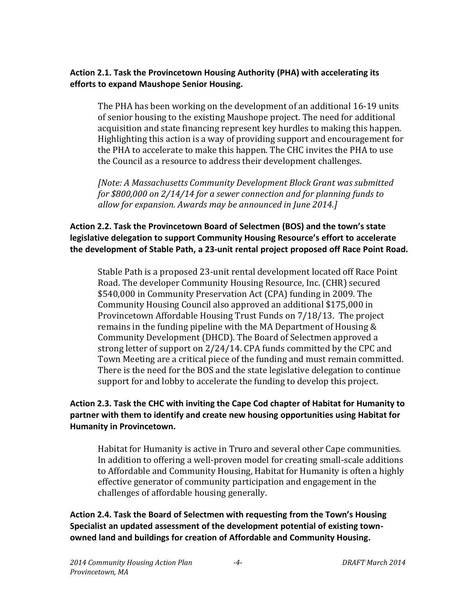#### **Action 2.1. Task the Provincetown Housing Authority (PHA) with accelerating its efforts to expand Maushope Senior Housing.**

The PHA has been working on the development of an additional 16-19 units of senior housing to the existing Maushope project. The need for additional acquisition and state financing represent key hurdles to making this happen. Highlighting this action is a way of providing support and encouragement for the PHA to accelerate to make this happen. The CHC invites the PHA to use the Council as a resource to address their development challenges.

*[Note: A Massachusetts Community Development Block Grant was submitted for \$800,000 on 2/14/14 for a sewer connection and for planning funds to allow for expansion. Awards may be announced in June 2014.]*

## **Action 2.2. Task the Provincetown Board of Selectmen (BOS) and the town's state legislative delegation to support Community Housing Resource's effort to accelerate the development of Stable Path, a 23-unit rental project proposed off Race Point Road.**

Stable Path is a proposed 23-unit rental development located off Race Point Road. The developer Community Housing Resource, Inc. (CHR) secured \$540,000 in Community Preservation Act (CPA) funding in 2009. The Community Housing Council also approved an additional \$175,000 in Provincetown Affordable Housing Trust Funds on 7/18/13. The project remains in the funding pipeline with the MA Department of Housing & Community Development (DHCD). The Board of Selectmen approved a strong letter of support on 2/24/14. CPA funds committed by the CPC and Town Meeting are a critical piece of the funding and must remain committed. There is the need for the BOS and the state legislative delegation to continue support for and lobby to accelerate the funding to develop this project.

#### **Action 2.3. Task the CHC with inviting the Cape Cod chapter of Habitat for Humanity to partner with them to identify and create new housing opportunities using Habitat for Humanity in Provincetown.**

Habitat for Humanity is active in Truro and several other Cape communities. In addition to offering a well-proven model for creating small-scale additions to Affordable and Community Housing, Habitat for Humanity is often a highly effective generator of community participation and engagement in the challenges of affordable housing generally.

**Action 2.4. Task the Board of Selectmen with requesting from the Town's Housing Specialist an updated assessment of the development potential of existing townowned land and buildings for creation of Affordable and Community Housing.**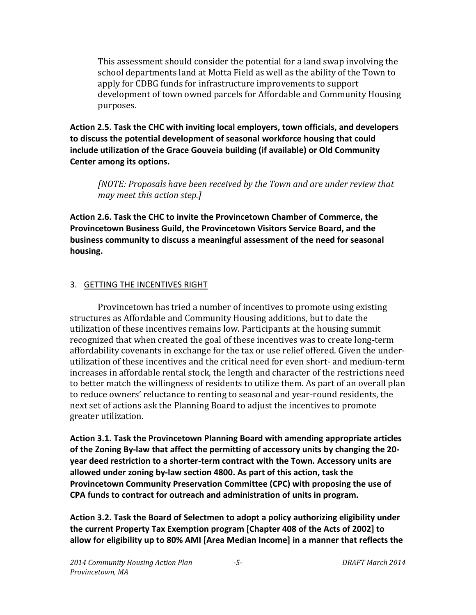This assessment should consider the potential for a land swap involving the school departments land at Motta Field as well as the ability of the Town to apply for CDBG funds for infrastructure improvements to support development of town owned parcels for Affordable and Community Housing purposes.

**Action 2.5. Task the CHC with inviting local employers, town officials, and developers to discuss the potential development of seasonal workforce housing that could include utilization of the Grace Gouveia building (if available) or Old Community Center among its options.**

*[NOTE: Proposals have been received by the Town and are under review that may meet this action step.]*

**Action 2.6. Task the CHC to invite the Provincetown Chamber of Commerce, the Provincetown Business Guild, the Provincetown Visitors Service Board, and the business community to discuss a meaningful assessment of the need for seasonal housing.**

#### 3. GETTING THE INCENTIVES RIGHT

Provincetown has tried a number of incentives to promote using existing structures as Affordable and Community Housing additions, but to date the utilization of these incentives remains low. Participants at the housing summit recognized that when created the goal of these incentives was to create long-term affordability covenants in exchange for the tax or use relief offered. Given the underutilization of these incentives and the critical need for even short- and medium-term increases in affordable rental stock, the length and character of the restrictions need to better match the willingness of residents to utilize them. As part of an overall plan to reduce owners' reluctance to renting to seasonal and year-round residents, the next set of actions ask the Planning Board to adjust the incentives to promote greater utilization.

**Action 3.1. Task the Provincetown Planning Board with amending appropriate articles of the Zoning By-law that affect the permitting of accessory units by changing the 20 year deed restriction to a shorter-term contract with the Town. Accessory units are allowed under zoning by-law section 4800. As part of this action, task the Provincetown Community Preservation Committee (CPC) with proposing the use of CPA funds to contract for outreach and administration of units in program.**

**Action 3.2. Task the Board of Selectmen to adopt a policy authorizing eligibility under the current Property Tax Exemption program [Chapter 408 of the Acts of 2002] to allow for eligibility up to 80% AMI [Area Median Income] in a manner that reflects the**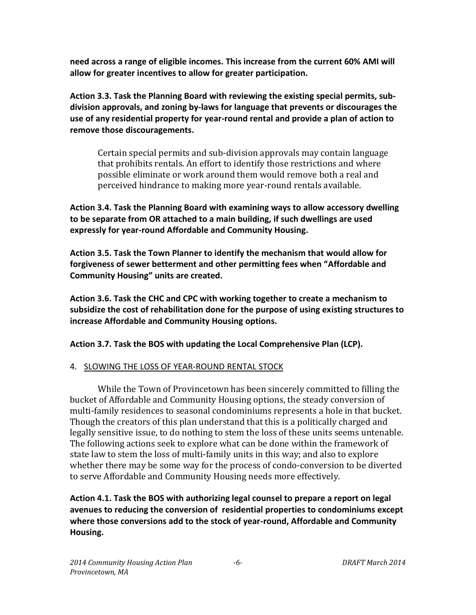**need across a range of eligible incomes. This increase from the current 60% AMI will allow for greater incentives to allow for greater participation.**

**Action 3.3. Task the Planning Board with reviewing the existing special permits, subdivision approvals, and zoning by-laws for language that prevents or discourages the use of any residential property for year-round rental and provide a plan of action to remove those discouragements.**

Certain special permits and sub-division approvals may contain language that prohibits rentals. An effort to identify those restrictions and where possible eliminate or work around them would remove both a real and perceived hindrance to making more year-round rentals available.

**Action 3.4. Task the Planning Board with examining ways to allow accessory dwelling to be separate from OR attached to a main building, if such dwellings are used expressly for year-round Affordable and Community Housing.**

**Action 3.5. Task the Town Planner to identify the mechanism that would allow for forgiveness of sewer betterment and other permitting fees when "Affordable and Community Housing" units are created.**

**Action 3.6. Task the CHC and CPC with working together to create a mechanism to subsidize the cost of rehabilitation done for the purpose of using existing structures to increase Affordable and Community Housing options.**

**Action 3.7. Task the BOS with updating the Local Comprehensive Plan (LCP).**

## 4. SLOWING THE LOSS OF YEAR-ROUND RENTAL STOCK

While the Town of Provincetown has been sincerely committed to filling the bucket of Affordable and Community Housing options, the steady conversion of multi-family residences to seasonal condominiums represents a hole in that bucket. Though the creators of this plan understand that this is a politically charged and legally sensitive issue, to do nothing to stem the loss of these units seems untenable. The following actions seek to explore what can be done within the framework of state law to stem the loss of multi-family units in this way; and also to explore whether there may be some way for the process of condo-conversion to be diverted to serve Affordable and Community Housing needs more effectively.

**Action 4.1. Task the BOS with authorizing legal counsel to prepare a report on legal avenues to reducing the conversion of residential properties to condominiums except where those conversions add to the stock of year-round, Affordable and Community Housing.**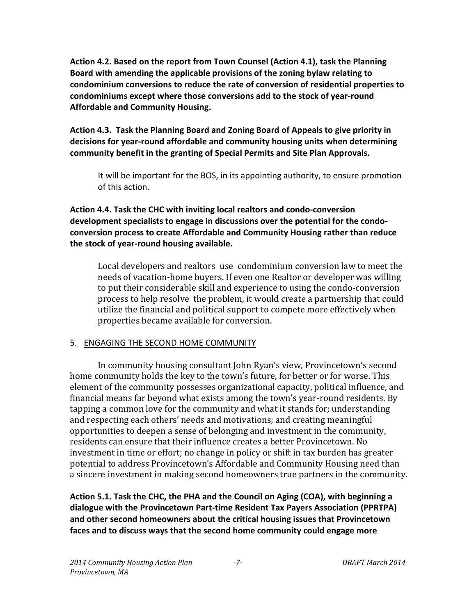**Action 4.2. Based on the report from Town Counsel (Action 4.1), task the Planning Board with amending the applicable provisions of the zoning bylaw relating to condominium conversions to reduce the rate of conversion of residential properties to condominiums except where those conversions add to the stock of year-round Affordable and Community Housing.**

**Action 4.3. Task the Planning Board and Zoning Board of Appeals to give priority in decisions for year-round affordable and community housing units when determining community benefit in the granting of Special Permits and Site Plan Approvals.**

It will be important for the BOS, in its appointing authority, to ensure promotion of this action.

**Action 4.4. Task the CHC with inviting local realtors and condo-conversion development specialists to engage in discussions over the potential for the condoconversion process to create Affordable and Community Housing rather than reduce the stock of year-round housing available.**

Local developers and realtors use condominium conversion law to meet the needs of vacation-home buyers. If even one Realtor or developer was willing to put their considerable skill and experience to using the condo-conversion process to help resolve the problem, it would create a partnership that could utilize the financial and political support to compete more effectively when properties became available for conversion.

#### 5. ENGAGING THE SECOND HOME COMMUNITY

In community housing consultant John Ryan's view, Provincetown's second home community holds the key to the town's future, for better or for worse. This element of the community possesses organizational capacity, political influence, and financial means far beyond what exists among the town's year-round residents. By tapping a common love for the community and what it stands for; understanding and respecting each others' needs and motivations; and creating meaningful opportunities to deepen a sense of belonging and investment in the community, residents can ensure that their influence creates a better Provincetown. No investment in time or effort; no change in policy or shift in tax burden has greater potential to address Provincetown's Affordable and Community Housing need than a sincere investment in making second homeowners true partners in the community.

**Action 5.1. Task the CHC, the PHA and the Council on Aging (COA), with beginning a dialogue with the Provincetown Part-time Resident Tax Payers Association (PPRTPA) and other second homeowners about the critical housing issues that Provincetown faces and to discuss ways that the second home community could engage more**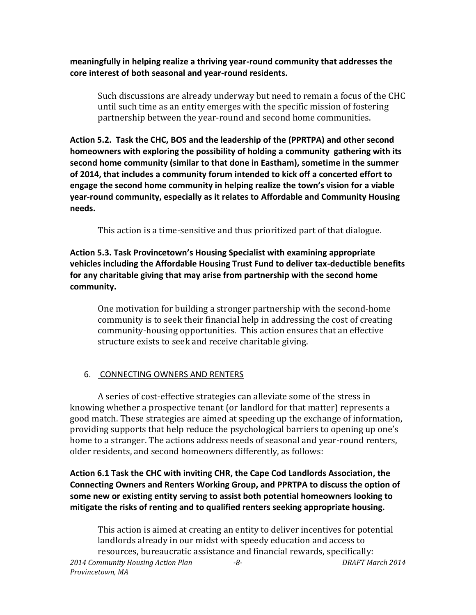**meaningfully in helping realize a thriving year-round community that addresses the core interest of both seasonal and year-round residents.** 

Such discussions are already underway but need to remain a focus of the CHC until such time as an entity emerges with the specific mission of fostering partnership between the year-round and second home communities.

**Action 5.2. Task the CHC, BOS and the leadership of the (PPRTPA) and other second homeowners with exploring the possibility of holding a community gathering with its second home community (similar to that done in Eastham), sometime in the summer of 2014, that includes a community forum intended to kick off a concerted effort to engage the second home community in helping realize the town's vision for a viable year-round community, especially as it relates to Affordable and Community Housing needs.** 

This action is a time-sensitive and thus prioritized part of that dialogue.

**Action 5.3. Task Provincetown's Housing Specialist with examining appropriate vehicles including the Affordable Housing Trust Fund to deliver tax-deductible benefits for any charitable giving that may arise from partnership with the second home community.** 

One motivation for building a stronger partnership with the second-home community is to seek their financial help in addressing the cost of creating community-housing opportunities. This action ensures that an effective structure exists to seek and receive charitable giving.

# 6. CONNECTING OWNERS AND RENTERS

A series of cost-effective strategies can alleviate some of the stress in knowing whether a prospective tenant (or landlord for that matter) represents a good match. These strategies are aimed at speeding up the exchange of information, providing supports that help reduce the psychological barriers to opening up one's home to a stranger. The actions address needs of seasonal and year-round renters, older residents, and second homeowners differently, as follows:

**Action 6.1 Task the CHC with inviting CHR, the Cape Cod Landlords Association, the Connecting Owners and Renters Working Group, and PPRTPA to discuss the option of some new or existing entity serving to assist both potential homeowners looking to mitigate the risks of renting and to qualified renters seeking appropriate housing.**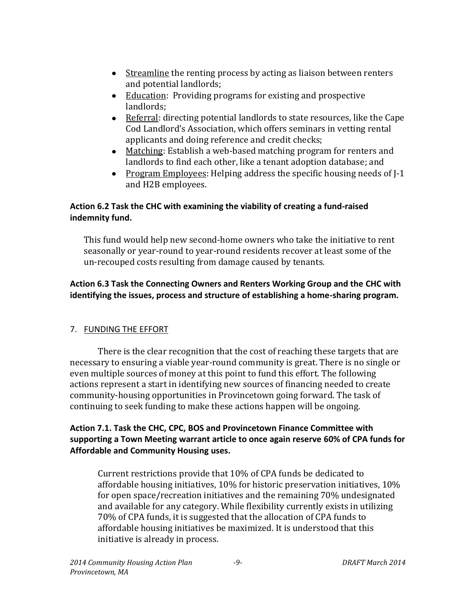- Streamline the renting process by acting as liaison between renters and potential landlords;
- Education: Providing programs for existing and prospective landlords;
- Referral: directing potential landlords to state resources, like the Cape Cod Landlord's Association, which offers seminars in vetting rental applicants and doing reference and credit checks;
- Matching: Establish a web-based matching program for renters and landlords to find each other, like a tenant adoption database; and
- Program Employees: Helping address the specific housing needs of  $I-1$ and H2B employees.

#### **Action 6.2 Task the CHC with examining the viability of creating a fund-raised indemnity fund.**

This fund would help new second-home owners who take the initiative to rent seasonally or year-round to year-round residents recover at least some of the un-recouped costs resulting from damage caused by tenants.

## **Action 6.3 Task the Connecting Owners and Renters Working Group and the CHC with identifying the issues, process and structure of establishing a home-sharing program.**

## 7. FUNDING THE EFFORT

There is the clear recognition that the cost of reaching these targets that are necessary to ensuring a viable year-round community is great. There is no single or even multiple sources of money at this point to fund this effort. The following actions represent a start in identifying new sources of financing needed to create community-housing opportunities in Provincetown going forward. The task of continuing to seek funding to make these actions happen will be ongoing.

## **Action 7.1. Task the CHC, CPC, BOS and Provincetown Finance Committee with supporting a Town Meeting warrant article to once again reserve 60% of CPA funds for Affordable and Community Housing uses.**

Current restrictions provide that 10% of CPA funds be dedicated to affordable housing initiatives, 10% for historic preservation initiatives, 10% for open space/recreation initiatives and the remaining 70% undesignated and available for any category. While flexibility currently exists in utilizing 70% of CPA funds, it is suggested that the allocation of CPA funds to affordable housing initiatives be maximized. It is understood that this initiative is already in process.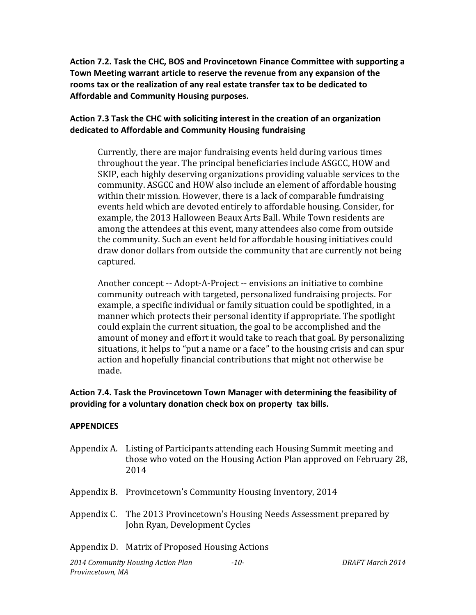**Action 7.2. Task the CHC, BOS and Provincetown Finance Committee with supporting a Town Meeting warrant article to reserve the revenue from any expansion of the rooms tax or the realization of any real estate transfer tax to be dedicated to Affordable and Community Housing purposes.**

#### **Action 7.3 Task the CHC with soliciting interest in the creation of an organization dedicated to Affordable and Community Housing fundraising**

Currently, there are major fundraising events held during various times throughout the year. The principal beneficiaries include ASGCC, HOW and SKIP, each highly deserving organizations providing valuable services to the community. ASGCC and HOW also include an element of affordable housing within their mission. However, there is a lack of comparable fundraising events held which are devoted entirely to affordable housing. Consider, for example, the 2013 Halloween Beaux Arts Ball. While Town residents are among the attendees at this event, many attendees also come from outside the community. Such an event held for affordable housing initiatives could draw donor dollars from outside the community that are currently not being captured.

Another concept -- Adopt-A-Project -- envisions an initiative to combine community outreach with targeted, personalized fundraising projects. For example, a specific individual or family situation could be spotlighted, in a manner which protects their personal identity if appropriate. The spotlight could explain the current situation, the goal to be accomplished and the amount of money and effort it would take to reach that goal. By personalizing situations, it helps to "put a name or a face" to the housing crisis and can spur action and hopefully financial contributions that might not otherwise be made.

#### **Action 7.4. Task the Provincetown Town Manager with determining the feasibility of providing for a voluntary donation check box on property tax bills.**

#### **APPENDICES**

- Appendix A. Listing of Participants attending each Housing Summit meeting and those who voted on the Housing Action Plan approved on February 28, 2014
- Appendix B. Provincetown's Community Housing Inventory, 2014
- Appendix C. The 2013 Provincetown's Housing Needs Assessment prepared by John Ryan, Development Cycles

#### Appendix D. Matrix of Proposed Housing Actions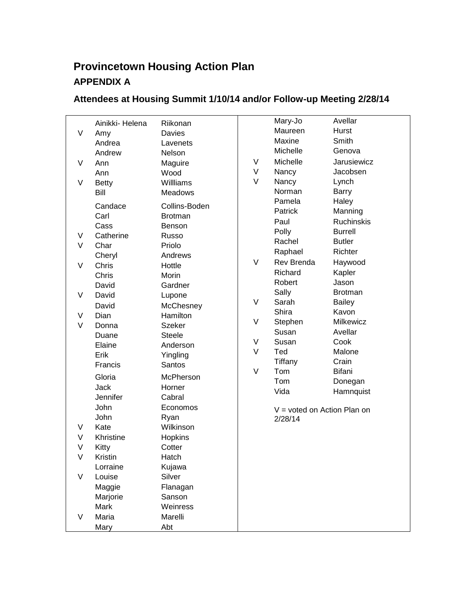# **Provincetown Housing Action Plan APPENDIX A**

# **Attendees at Housing Summit 1/10/14 and/or Follow-up Meeting 2/28/14**

|        | Ainikki- Helena | Riikonan         |        | Mary-Jo                       | Avellar           |
|--------|-----------------|------------------|--------|-------------------------------|-------------------|
| V      | Amy             | Davies           |        | Maureen                       | <b>Hurst</b>      |
|        | Andrea          | Lavenets         |        | Maxine                        | Smith             |
|        | Andrew          | Nelson           |        | Michelle                      | Genova            |
| V      | Ann             | Maguire          | V      | Michelle                      | Jarusiewicz       |
|        | Ann             | Wood             | V      | Nancy                         | Jacobsen          |
| V      | <b>Betty</b>    | Willliams        | V      | Nancy                         | Lynch             |
|        | Bill            | <b>Meadows</b>   |        | Norman                        | Barry             |
|        |                 |                  |        | Pamela                        | Haley             |
|        | Candace         | Collins-Boden    |        | Patrick                       | Manning           |
|        | Carl            | <b>Brotman</b>   |        | Paul                          | <b>Ruchinskis</b> |
|        | Cass            | Benson           |        | Polly                         | <b>Burrell</b>    |
| V      | Catherine       | Russo            |        | Rachel                        | <b>Butler</b>     |
| V      | Char            | Priolo           |        | Raphael                       | Richter           |
|        | Cheryl          | Andrews          | V      | Rev Brenda                    | Haywood           |
| V      | Chris           | Hottle           |        | Richard                       | Kapler            |
|        | Chris           | Morin<br>Gardner |        | Robert                        | Jason             |
| V      | David           |                  |        | Sally                         | <b>Brotman</b>    |
|        | David           | Lupone           | $\vee$ | Sarah                         | <b>Bailey</b>     |
|        | David           | McChesney        |        | Shira                         | Kavon             |
| V      | Dian            | Hamilton         | V      | Stephen                       | Milkewicz         |
| $\vee$ | Donna           | <b>Szeker</b>    |        | Susan                         | Avellar           |
|        | Duane           | <b>Steele</b>    | V      | Susan                         | Cook              |
|        | Elaine          | Anderson         | V      | Ted                           | Malone            |
|        | Erik            | Yingling         |        | Tiffany                       | Crain             |
|        | Francis         | Santos           | V      | Tom                           | Bifani            |
|        | Gloria          | McPherson        |        | Tom                           | Donegan           |
|        | <b>Jack</b>     | Horner           |        | Vida                          | Hamnquist         |
|        | Jennifer        | Cabral           |        |                               |                   |
|        | John            | Economos         |        | $V =$ voted on Action Plan on |                   |
|        | John            | Ryan             |        | 2/28/14                       |                   |
| V      | Kate            | Wilkinson        |        |                               |                   |
| V      | Khristine       | Hopkins          |        |                               |                   |
| V      | Kitty           | Cotter           |        |                               |                   |
| V      | Kristin         | Hatch            |        |                               |                   |
|        | Lorraine        | Kujawa           |        |                               |                   |
| V      | Louise          | Silver           |        |                               |                   |
|        | Maggie          | Flanagan         |        |                               |                   |
|        | Marjorie        | Sanson           |        |                               |                   |
|        | Mark            | Weinress         |        |                               |                   |
| V      | Maria           | Marelli          |        |                               |                   |
|        | Mary            | Abt              |        |                               |                   |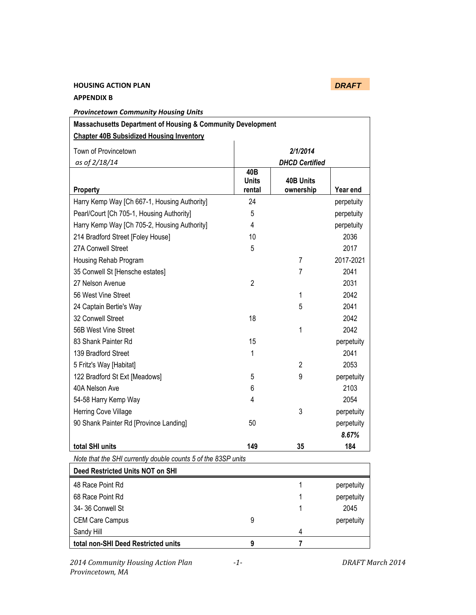# **HOUSING ACTION PLAN** *DRAFT*

#### **APPENDIX B**

| <b>Provincetown Community Housing Units</b>                            |                       |                  |            |  |  |  |  |
|------------------------------------------------------------------------|-----------------------|------------------|------------|--|--|--|--|
| <b>Massachusetts Department of Housing &amp; Community Development</b> |                       |                  |            |  |  |  |  |
| <b>Chapter 40B Subsidized Housing Inventory</b>                        |                       |                  |            |  |  |  |  |
| Town of Provincetown                                                   |                       | 2/1/2014         |            |  |  |  |  |
| as of 2/18/14                                                          | <b>DHCD Certified</b> |                  |            |  |  |  |  |
|                                                                        | 40B                   |                  |            |  |  |  |  |
|                                                                        | <b>Units</b>          | <b>40B Units</b> |            |  |  |  |  |
| <b>Property</b>                                                        | rental                | ownership        | Year end   |  |  |  |  |
| Harry Kemp Way [Ch 667-1, Housing Authority]                           | 24                    |                  | perpetuity |  |  |  |  |
| Pearl/Court [Ch 705-1, Housing Authority]                              | 5                     |                  | perpetuity |  |  |  |  |
| Harry Kemp Way [Ch 705-2, Housing Authority]                           | 4                     |                  | perpetuity |  |  |  |  |
| 214 Bradford Street [Foley House]                                      | 10                    |                  | 2036       |  |  |  |  |
| 27A Conwell Street                                                     | 5                     |                  | 2017       |  |  |  |  |
| Housing Rehab Program                                                  |                       | $\overline{7}$   | 2017-2021  |  |  |  |  |
| 35 Conwell St [Hensche estates]                                        |                       | 7                | 2041       |  |  |  |  |
| 27 Nelson Avenue                                                       | $\overline{2}$        |                  | 2031       |  |  |  |  |
| 56 West Vine Street                                                    |                       | 1                | 2042       |  |  |  |  |
| 24 Captain Bertie's Way                                                |                       | 5                | 2041       |  |  |  |  |
| 32 Conwell Street                                                      | 18                    |                  | 2042       |  |  |  |  |
| 56B West Vine Street                                                   |                       | 1                | 2042       |  |  |  |  |
| 83 Shank Painter Rd                                                    | 15                    |                  | perpetuity |  |  |  |  |
| 139 Bradford Street                                                    | 1                     |                  | 2041       |  |  |  |  |
| 5 Fritz's Way [Habitat]                                                |                       | 2                | 2053       |  |  |  |  |
| 122 Bradford St Ext [Meadows]                                          | 5                     | 9                | perpetuity |  |  |  |  |
| 40A Nelson Ave                                                         | 6                     |                  | 2103       |  |  |  |  |
| 54-58 Harry Kemp Way                                                   | 4                     |                  | 2054       |  |  |  |  |
| Herring Cove Village                                                   |                       | 3                | perpetuity |  |  |  |  |
| 90 Shank Painter Rd [Province Landing]                                 | 50                    |                  | perpetuity |  |  |  |  |
|                                                                        |                       |                  | 8.67%      |  |  |  |  |
| total SHI units                                                        | 149                   | 35               | 184        |  |  |  |  |
| Note that the SHI currently double counts 5 of the 83SP units          |                       |                  |            |  |  |  |  |
| <b>Deed Restricted Units NOT on SHI</b>                                |                       |                  |            |  |  |  |  |
| 48 Race Point Rd                                                       |                       | 1                | perpetuity |  |  |  |  |
| 68 Race Point Rd                                                       |                       | 1                | perpetuity |  |  |  |  |
| 34-36 Conwell St                                                       |                       | 1                | 2045       |  |  |  |  |
| <b>CEM Care Campus</b>                                                 | 9                     |                  | perpetuity |  |  |  |  |
| Sandy Hill                                                             |                       | 4                |            |  |  |  |  |
| total non-SHI Deed Restricted units                                    | 9                     | $\overline{7}$   |            |  |  |  |  |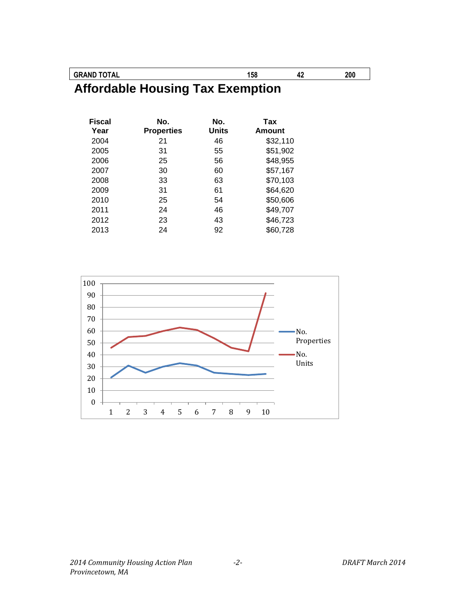**GRAND TOTAL 158 42 200**

**Affordable Housing Tax Exemption**

| <b>Fiscal</b><br>Year | No.<br><b>Properties</b> | No.<br><b>Units</b> | Tax<br><b>Amount</b> |
|-----------------------|--------------------------|---------------------|----------------------|
| 2004                  | 21                       | 46                  | \$32,110             |
| 2005                  | 31                       | 55                  | \$51,902             |
| 2006                  | 25                       | 56                  | \$48,955             |
| 2007                  | 30                       | 60                  | \$57,167             |
| 2008                  | 33                       | 63                  | \$70,103             |
| 2009                  | 31                       | 61                  | \$64,620             |
| 2010                  | 25                       | 54                  | \$50,606             |
| 2011                  | 24                       | 46                  | \$49,707             |
| 2012                  | 23                       | 43                  | \$46,723             |
| 2013                  | 24                       | 92                  | \$60,728             |

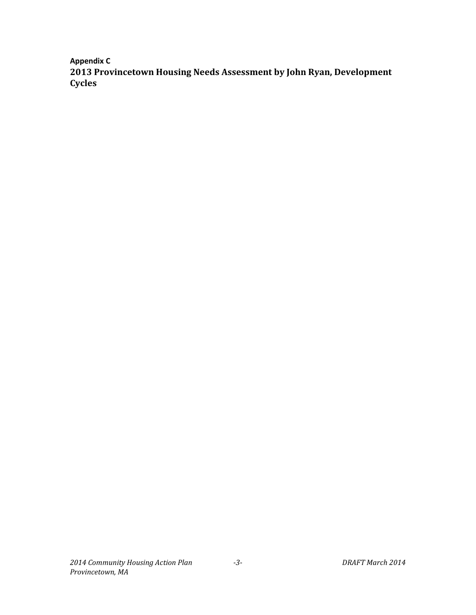**Appendix C 2013 Provincetown Housing Needs Assessment by John Ryan, Development Cycles**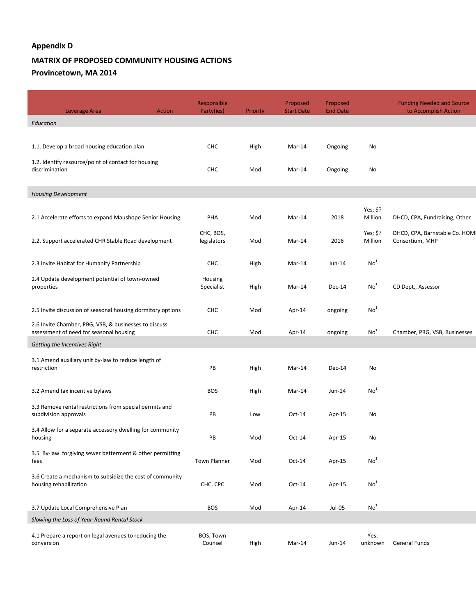#### **Appendix D**

#### **MATRIX OF PROPOSED COMMUNITY HOUSING ACTIONS Provincetown, MA 2014**

| Leverage Area                                                                                    | Action | Responsible<br>Party(ies) | Priority | Proposed<br><b>Start Date</b> | Proposed<br><b>End Date</b> |                      | <b>Funding Needed and Source</b><br>to Accomplish Action |
|--------------------------------------------------------------------------------------------------|--------|---------------------------|----------|-------------------------------|-----------------------------|----------------------|----------------------------------------------------------|
| Education                                                                                        |        |                           |          |                               |                             |                      |                                                          |
|                                                                                                  |        |                           |          |                               |                             |                      |                                                          |
| 1.1. Develop a broad housing education plan                                                      |        | CHC                       | High     | Mar-14                        | Ongoing                     | No                   |                                                          |
| 1.2. Identify resource/point of contact for housing<br>discrimination                            |        | <b>CHC</b>                | Mod      | Mar-14                        | Ongoing                     | No                   |                                                          |
| <b>Housing Development</b>                                                                       |        |                           |          |                               |                             |                      |                                                          |
| 2.1 Accelerate efforts to expand Maushope Senior Housing                                         |        | PHA                       | Mod      | Mar-14                        | 2018                        | Yes; \$?<br>Million  | DHCD, CPA, Fundraising, Other                            |
| 2.2. Support accelerated CHR Stable Road development                                             |        | CHC, BOS,<br>legislators  | Mod      | Mar-14                        | 2016                        | Yes; $$?$<br>Million | DHCD, CPA, Barnstable Co. HOM<br>Consortium, MHP         |
| 2.3 Invite Habitat for Humanity Partnership                                                      |        | <b>CHC</b>                | High     | Mar-14                        | Jun-14                      | No <sup>1</sup>      |                                                          |
| 2.4 Update development potential of town-owned<br>properties                                     |        | Housing<br>Specialist     | High     | Mar-14                        | Dec-14                      | No <sup>1</sup>      | CD Dept., Assessor                                       |
| 2.5 Invite discussion of seasonal housing dormitory options                                      |        | <b>CHC</b>                | Mod      | Apr-14                        | ongoing                     | No <sup>1</sup>      |                                                          |
| 2.6 Invite Chamber, PBG, VSB, & businesses to discuss<br>assessment of need for seasonal housing |        | <b>CHC</b>                | Mod      | Apr-14                        | ongoing                     | No <sup>1</sup>      | Chamber, PBG, VSB, Businesses                            |
| Getting the Incentives Right                                                                     |        |                           |          |                               |                             |                      |                                                          |
| 3.1 Amend auxiliary unit by-law to reduce length of<br>restriction                               |        | PB                        | High     | Mar-14                        | Dec-14                      | No                   |                                                          |
| 3.2 Amend tax incentive bylaws                                                                   |        | <b>BOS</b>                | High     | Mar-14                        | Jun-14                      | No <sup>1</sup>      |                                                          |
| 3.3 Remove rental restrictions from special permits and<br>subdivision approvals                 |        | PB                        | Low      | $Oct-14$                      | Apr-15                      | No                   |                                                          |
| 3.4 Allow for a separate accessory dwelling for community<br>housing                             |        | PB                        | Mod      | $Oct-14$                      | Apr-15                      | No                   |                                                          |
| 3.5 By-law forgiving sewer betterment & other permitting<br>fees                                 |        | Town Planner              | Mod      | $Oct-14$                      | Apr-15                      | No <sup>1</sup>      |                                                          |
| 3.6 Create a mechanism to subsidize the cost of community<br>housing rehabilitation              |        | CHC, CPC                  | Mod      | $Oct-14$                      | Apr-15                      | No <sup>1</sup>      |                                                          |
| 3.7 Update Local Comprehensive Plan                                                              |        | <b>BOS</b>                | Mod      | Apr-14                        | Jul-05                      | No <sup>1</sup>      |                                                          |
| Slowing the Loss of Year-Round Rental Stock                                                      |        |                           |          |                               |                             |                      |                                                          |
| 4.1 Prepare a report on legal avenues to reducing the<br>conversion                              |        | BOS, Town<br>Counsel      | High     | Mar-14                        | Jun-14                      | Yes;<br>unknown      | General Funds                                            |